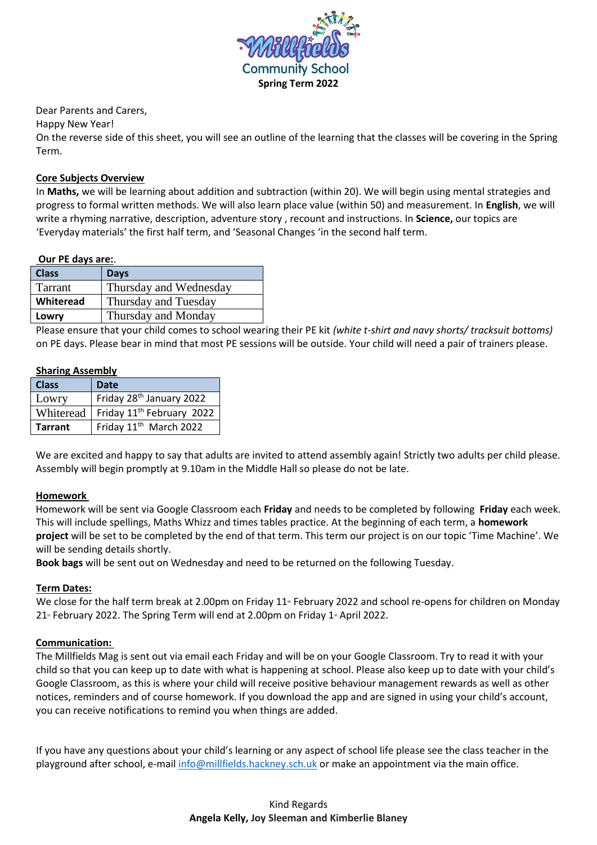

Dear Parents and Carers,

Happy New Year!

On the reverse side of this sheet, you will see an outline of the learning that the classes will be covering in the Spring Term.

# **Core Subjects Overview**

In **Maths,** we will be learning about addition and subtraction (within 20). We will begin using mental strategies and progress to formal written methods. We will also learn place value (within 50) and measurement. In **English**, we will write a rhyming narrative, description, adventure story , recount and instructions. In **Science,** our topics are 'Everyday materials' the first half term, and 'Seasonal Changes 'in the second half term.

### **Our PE days are:**.

| <b>Class</b>   | <b>Days</b>            |
|----------------|------------------------|
| <b>Tarrant</b> | Thursday and Wednesday |
| Whiteread      | Thursday and Tuesday   |
| Lowry          | Thursday and Monday    |

Please ensure that your child comes to school wearing their PE kit *(white t-shirt and navy shorts/ tracksuit bottoms)* on PE days. Please bear in mind that most PE sessions will be outside. Your child will need a pair of trainers please.

### **Sharing Assembly**

| <b>Class</b>   | <b>Date</b>                           |
|----------------|---------------------------------------|
| Lowry          | Friday 28 <sup>th</sup> January 2022  |
| Whiteread      | Friday 11 <sup>th</sup> February 2022 |
| <b>Tarrant</b> | Friday 11 <sup>th</sup> March 2022    |

We are excited and happy to say that adults are invited to attend assembly again! Strictly two adults per child please. Assembly will begin promptly at 9.10am in the Middle Hall so please do not be late.

## **Homework**

Homework will be sent via Google Classroom each **Friday** and needs to be completed by following **Friday** each week. This will include spellings, Maths Whizz and times tables practice. At the beginning of each term, a **homework project** will be set to be completed by the end of that term. This term our project is on our topic 'Time Machine'. We will be sending details shortly.

**Book bags** will be sent out on Wednesday and need to be returned on the following Tuesday.

## **Term Dates:**

We close for the half term break at 2.00pm on Friday  $11<sup>*</sup>$  February 2022 and school re-opens for children on Monday 21<sup> $\text{ }s$ </sup> February 2022. The Spring Term will end at 2.00pm on Friday 1 $\text{ }s$  April 2022.

## **Communication:**

The Millfields Mag is sent out via email each Friday and will be on your Google Classroom. Try to read it with your child so that you can keep up to date with what is happening at school. Please also keep up to date with your child's Google Classroom, as this is where your child will receive positive behaviour management rewards as well as other notices, reminders and of course homework. If you download the app and are signed in using your child's account, you can receive notifications to remind you when things are added.

If you have any questions about your child's learning or any aspect of school life please see the class teacher in the playground after school, e-mail [info@millfields.hackney.sch.uk](../../../../../Plans%202019%20-%202020/Year%202/Riley/Admin%202019-2020/Yrea%201%20Parent%20booklet%20%20Spring/info@millfields.hackney.sch.uk) or make an appointment via the main office.